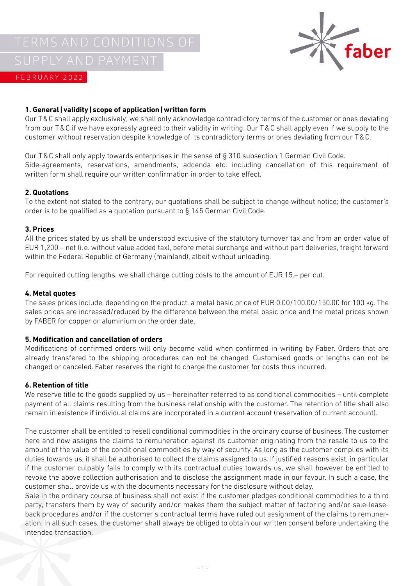

# **1. General|validity|scope of application|written form**

Our T&C shall apply exclusively; we shall only acknowledge contradictory terms of the customer or ones deviating from our T&C if we have expressly agreed to their validity in writing. Our T&C shall apply even if we supply to the customer without reservation despite knowledge of its contradictory terms or ones deviating from our T&C.

Our T&C shall only apply towards enterprises in the sense of § 310 subsection 1 German Civil Code. Side-agreements, reservations, amendments, addenda etc. including cancellation of this requirement of written form shall require our written confirmation in order to take effect.

## **2. Quotations**

To the extent not stated to the contrary, our quotations shall be subject to change without notice; the customer's order is to be qualified as a quotation pursuant to § 145 German Civil Code.

#### **3. Prices**

All the prices stated by us shall be understood exclusive of the statutory turnover tax and from an order value of EUR 1,200.– net (i.e. without value added tax), before metal surcharge and without part deliveries, freight forward within the Federal Republic of Germany (mainland), albeit without unloading.

For required cutting lengths, we shall charge cutting costs to the amount of EUR 15.– per cut.

#### **4. Metal quotes**

The sales prices include, depending on the product, a metal basic price of EUR 0.00/100.00/150.00 for 100 kg. The sales prices are increased/reduced by the difference between the metal basic price and the metal prices shown by FABER for copper or aluminium on the order date.

## **5. Modification and cancellation of orders**

Modifications of confirmed orders will only become valid when confirmed in writing by Faber. Orders that are already transfered to the shipping procedures can not be changed. Customised goods or lengths can not be changed or canceled. Faber reserves the right to charge the customer for costs thus incurred.

## **6. Retention of title**

We reserve title to the goods supplied by us – hereinafter referred to as conditional commodities – until complete payment of all claims resulting from the business relationship with the customer. The retention of title shall also remain in existence if individual claims are incorporated in a current account (reservation of current account).

The customer shall be entitled to resell conditional commodities in the ordinary course of business. The customer here and now assigns the claims to remuneration against its customer originating from the resale to us to the amount of the value of the conditional commodities by way of security. As long as the customer complies with its duties towards us, it shall be authorised to collect the claims assigned to us. If justified reasons exist, in particular if the customer culpably fails to comply with its contractual duties towards us, we shall however be entitled to revoke the above collection authorisation and to disclose the assignment made in our favour. In such a case, the customer shall provide us with the documents necessary for the disclosure without delay.

Sale in the ordinary course of business shall not exist if the customer pledges conditional commodities to a third party, transfers them by way of security and/or makes them the subject matter of factoring and/or sale-leaseback procedures and/or if the customer's contractual terms have ruled out assignment of the claims to remuneration. In all such cases, the customer shall always be obliged to obtain our written consent before undertaking the intended transaction.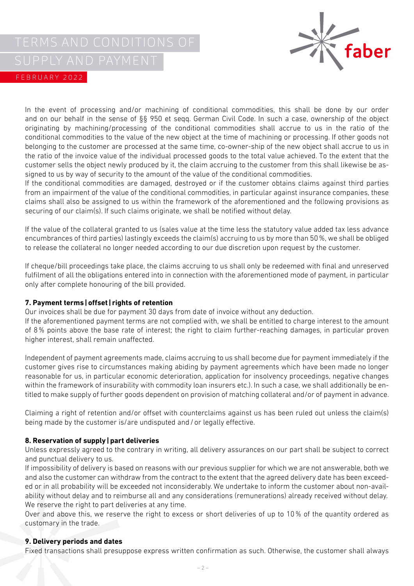

In the event of processing and/or machining of conditional commodities, this shall be done by our order and on our behalf in the sense of §§ 950 et seqq. German Civil Code. In such a case, ownership of the object originating by machining/processing of the conditional commodities shall accrue to us in the ratio of the conditional commodities to the value of the new object at the time of machining or processing. If other goods not belonging to the customer are processed at the same time, co-owner-ship of the new object shall accrue to us in the ratio of the invoice value of the individual processed goods to the total value achieved. To the extent that the customer sells the object newly produced by it, the claim accruing to the customer from this shall likewise be assigned to us by way of security to the amount of the value of the conditional commodities.

If the conditional commodities are damaged, destroyed or if the customer obtains claims against third parties from an impairment of the value of the conditional commodities, in particular against insurance companies, these claims shall also be assigned to us within the framework of the aforementioned and the following provisions as securing of our claim(s). If such claims originate, we shall be notified without delay.

If the value of the collateral granted to us (sales value at the time less the statutory value added tax less advance encumbrances of third parties) lastingly exceeds the claim(s) accruing to us by more than 50%, we shall be obliged to release the collateral no longer needed according to our due discretion upon request by the customer.

If cheque/bill proceedings take place, the claims accruing to us shall only be redeemed with final and unreserved fulfilment of all the obligations entered into in connection with the aforementioned mode of payment, in particular only after complete honouring of the bill provided.

# **7. Payment terms|offset| rights of retention**

Our invoices shall be due for payment 30 days from date of invoice without any deduction.

If the aforementioned payment terms are not complied with, we shall be entitled to charge interest to the amount of 8% points above the base rate of interest; the right to claim further-reaching damages, in particular proven higher interest, shall remain unaffected.

Independent of payment agreements made, claims accruing to us shall become due for payment immediately if the customer gives rise to circumstances making abiding by payment agreements which have been made no longer reasonable for us, in particular economic deterioration, application for insolvency proceedings, negative changes within the framework of insurability with commodity loan insurers etc.). In such a case, we shall additionally be entitled to make supply of further goods dependent on provision of matching collateral and/or of payment in advance.

Claiming a right of retention and/or offset with counterclaims against us has been ruled out unless the claim(s) being made by the customer is/are undisputed and/or legally effective.

## **8. Reservation of supply|part deliveries**

Unless expressly agreed to the contrary in writing, all delivery assurances on our part shall be subject to correct and punctual delivery to us.

If impossibility of delivery is based on reasons with our previous supplier for which we are not answerable, both we and also the customer can withdraw from the contract to the extent that the agreed delivery date has been exceeded or in all probability will be exceeded not inconsiderably. We undertake to inform the customer about non-availability without delay and to reimburse all and any considerations (remunerations) already received without delay. We reserve the right to part deliveries at any time.

Over and above this, we reserve the right to excess or short deliveries of up to 10% of the quantity ordered as customary in the trade.

## **9. Delivery periods and dates**

Fixed transactions shall presuppose express written confirmation as such. Otherwise, the customer shall always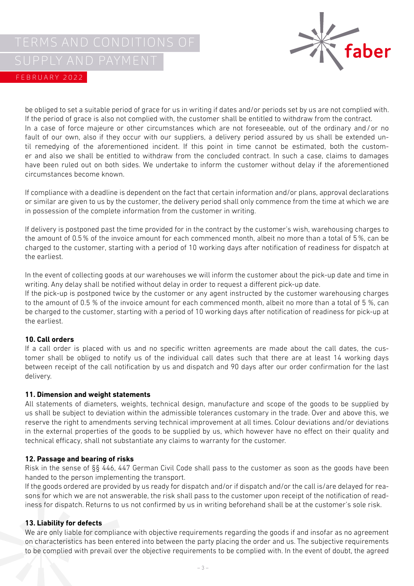

be obliged to set a suitable period of grace for us in writing if dates and/or periods set by us are not complied with. If the period of grace is also not complied with, the customer shall be entitled to withdraw from the contract. In a case of force majeure or other circumstances which are not foreseeable, out of the ordinary and/or no fault of our own, also if they occur with our suppliers, a delivery period assured by us shall be extended until remedying of the aforementioned incident. If this point in time cannot be estimated, both the customer and also we shall be entitled to withdraw from the concluded contract. In such a case, claims to damages have been ruled out on both sides. We undertake to inform the customer without delay if the aforementioned circumstances become known.

If compliance with a deadline is dependent on the fact that certain information and/or plans, approval declarations or similar are given to us by the customer, the delivery period shall only commence from the time at which we are in possession of the complete information from the customer in writing.

If delivery is postponed past the time provided for in the contract by the customer's wish, warehousing charges to the amount of 0.5% of the invoice amount for each commenced month, albeit no more than a total of 5%, can be charged to the customer, starting with a period of 10 working days after notification of readiness for dispatch at the earliest.

In the event of collecting goods at our warehouses we will inform the customer about the pick-up date and time in writing. Any delay shall be notified without delay in order to request a different pick-up date.

If the pick-up is postponed twice by the customer or any agent instructed by the customer warehousing charges to the amount of 0.5 % of the invoice amount for each commenced month, albeit no more than a total of 5 %, can be charged to the customer, starting with a period of 10 working days after notification of readiness for pick-up at the earliest.

## **10. Call orders**

If a call order is placed with us and no specific written agreements are made about the call dates, the customer shall be obliged to notify us of the individual call dates such that there are at least 14 working days between receipt of the call notification by us and dispatch and 90 days after our order confirmation for the last delivery.

## **11. Dimension and weight statements**

All statements of diameters, weights, technical design, manufacture and scope of the goods to be supplied by us shall be subject to deviation within the admissible tolerances customary in the trade. Over and above this, we reserve the right to amendments serving technical improvement at all times. Colour deviations and/or deviations in the external properties of the goods to be supplied by us, which however have no effect on their quality and technical efficacy, shall not substantiate any claims to warranty for the customer.

## **12. Passage and bearing of risks**

Risk in the sense of §§ 446, 447 German Civil Code shall pass to the customer as soon as the goods have been handed to the person implementing the transport.

If the goods ordered are provided by us ready for dispatch and/or if dispatch and/or the call is/are delayed for reasons for which we are not answerable, the risk shall pass to the customer upon receipt of the notification of readiness for dispatch. Returns to us not confirmed by us in writing beforehand shall be at the customer's sole risk.

## **13. Liability for defects**

We are only liable for compliance with objective requirements regarding the goods if and insofar as no agreement on characteristics has been entered into between the party placing the order and us. The subjective requirements to be complied with prevail over the objective requirements to be complied with. In the event of doubt, the agreed